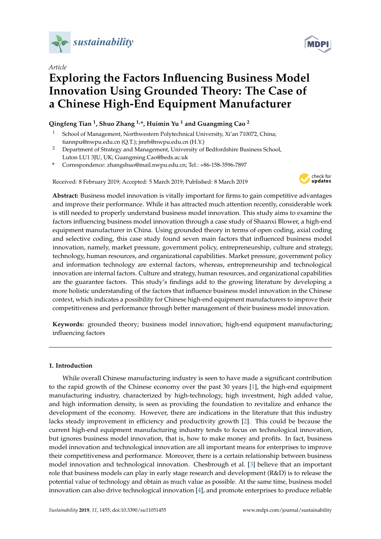

*Article*

# **MDPI**

# **Exploring the Factors Influencing Business Model Innovation Using Grounded Theory: The Case of a Chinese High-End Equipment Manufacturer**

# **Qingfeng Tian <sup>1</sup> , Shuo Zhang 1,\*, Huimin Yu <sup>1</sup> and Guangming Cao <sup>2</sup>**

- School of Management, Northwestern Polytechnical University, Xi'an 710072, China; tiannpu@nwpu.edu.cn (Q.T.); jmrh@nwpu.edu.cn (H.Y.)
- <sup>2</sup> Department of Strategy and Management, University of Bedfordshire Business School, Luton LU1 3JU, UK; Guangming.Cao@beds.ac.uk
- **\*** Correspondence: zhangshuo@mail.nwpu.edu.cn; Tel.: +86-158-3596-7897

Received: 8 February 2019; Accepted: 5 March 2019; Published: 8 March 2019



**Abstract:** Business model innovation is vitally important for firms to gain competitive advantages and improve their performance. While it has attracted much attention recently, considerable work is still needed to properly understand business model innovation. This study aims to examine the factors influencing business model innovation through a case study of Shaanxi Blower, a high-end equipment manufacturer in China. Using grounded theory in terms of open coding, axial coding and selective coding, this case study found seven main factors that influenced business model innovation, namely, market pressure, government policy, entrepreneurship, culture and strategy, technology, human resources, and organizational capabilities. Market pressure, government policy and information technology are external factors, whereas, entrepreneurship and technological innovation are internal factors. Culture and strategy, human resources, and organizational capabilities are the guarantee factors. This study's findings add to the growing literature by developing a more holistic understanding of the factors that influence business model innovation in the Chinese context, which indicates a possibility for Chinese high-end equipment manufacturers to improve their competitiveness and performance through better management of their business model innovation.

**Keywords:** grounded theory; business model innovation; high-end equipment manufacturing; influencing factors

## **1. Introduction**

While overall Chinese manufacturing industry is seen to have made a significant contribution to the rapid growth of the Chinese economy over the past 30 years [1], the high-end equipment manufacturing industry, characterized by high-technology, high investment, high added value, and high information density, is seen as providing the foundation to revitalize and enhance the development of the economy. However, there are indications in the literature that this industry lacks steady improvement in efficiency and productivity growth [2]. This could be because the current high-end equipment manufacturing industry tends to focus on technological innovation, but ignores business model innovation, that is, how to make money and profits. In fact, business model innovation and technological innovation are all important means for enterprises to improve their competitiveness and performance. Moreover, there is a certain relationship between business model innovation and technological innovation. Chesbrough et al. [3] believe that an important role that business models can play in early stage research and development (R&D) is to release the potential value of technology and obtain as much value as possible. At the same time, business model innovation can also drive technological innovation [4], and promote enterprises to produce reliable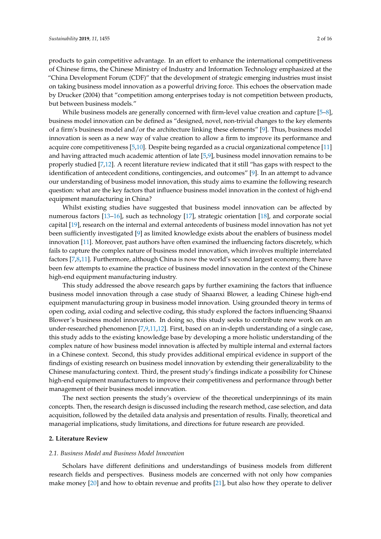products to gain competitive advantage. In an effort to enhance the international competitiveness of Chinese firms, the Chinese Ministry of Industry and Information Technology emphasized at the "China Development Forum (CDF)" that the development of strategic emerging industries must insist on taking business model innovation as a powerful driving force. This echoes the observation made by Drucker (2004) that "competition among enterprises today is not competition between products, but between business models."

While business models are generally concerned with firm-level value creation and capture [5–8], business model innovation can be defined as "designed, novel, non-trivial changes to the key elements of a firm's business model and/or the architecture linking these elements" [9]. Thus, business model innovation is seen as a new way of value creation to allow a firm to improve its performance and acquire core competitiveness [5,10]. Despite being regarded as a crucial organizational competence [11] and having attracted much academic attention of late [5,9], business model innovation remains to be properly studied [7,12]. A recent literature review indicated that it still "has gaps with respect to the identification of antecedent conditions, contingencies, and outcomes" [9]. In an attempt to advance our understanding of business model innovation, this study aims to examine the following research question: what are the key factors that influence business model innovation in the context of high-end equipment manufacturing in China?

Whilst existing studies have suggested that business model innovation can be affected by numerous factors [13–16], such as technology [17], strategic orientation [18], and corporate social capital [19], research on the internal and external antecedents of business model innovation has not yet been sufficiently investigated [9] as limited knowledge exists about the enablers of business model innovation [11]. Moreover, past authors have often examined the influencing factors discretely, which fails to capture the complex nature of business model innovation, which involves multiple interrelated factors [7,8,11]. Furthermore, although China is now the world's second largest economy, there have been few attempts to examine the practice of business model innovation in the context of the Chinese high-end equipment manufacturing industry.

This study addressed the above research gaps by further examining the factors that influence business model innovation through a case study of Shaanxi Blower, a leading Chinese high-end equipment manufacturing group in business model innovation. Using grounded theory in terms of open coding, axial coding and selective coding, this study explored the factors influencing Shaanxi Blower's business model innovation. In doing so, this study seeks to contribute new work on an under-researched phenomenon [7,9,11,12]. First, based on an in-depth understanding of a single case, this study adds to the existing knowledge base by developing a more holistic understanding of the complex nature of how business model innovation is affected by multiple internal and external factors in a Chinese context. Second, this study provides additional empirical evidence in support of the findings of existing research on business model innovation by extending their generalizability to the Chinese manufacturing context. Third, the present study's findings indicate a possibility for Chinese high-end equipment manufacturers to improve their competitiveness and performance through better management of their business model innovation.

The next section presents the study's overview of the theoretical underpinnings of its main concepts. Then, the research design is discussed including the research method, case selection, and data acquisition, followed by the detailed data analysis and presentation of results. Finally, theoretical and managerial implications, study limitations, and directions for future research are provided.

#### **2. Literature Review**

#### *2.1. Business Model and Business Model Innovation*

Scholars have different definitions and understandings of business models from different research fields and perspectives. Business models are concerned with not only how companies make money [20] and how to obtain revenue and profits [21], but also how they operate to deliver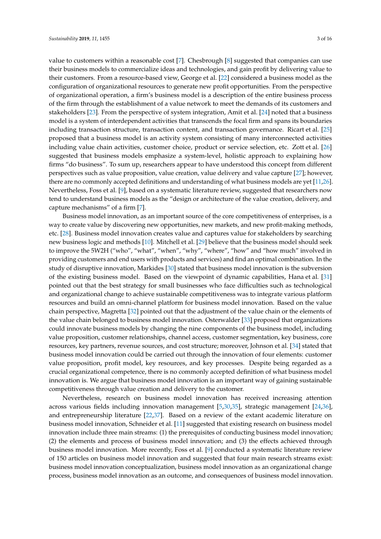value to customers within a reasonable cost [7]. Chesbrough [8] suggested that companies can use their business models to commercialize ideas and technologies, and gain profit by delivering value to their customers. From a resource-based view, George et al. [22] considered a business model as the configuration of organizational resources to generate new profit opportunities. From the perspective of organizational operation, a firm's business model is a description of the entire business process of the firm through the establishment of a value network to meet the demands of its customers and stakeholders [23]. From the perspective of system integration, Amit et al. [24] noted that a business model is a system of interdependent activities that transcends the focal firm and spans its boundaries including transaction structure, transaction content, and transaction governance. Ricart et al. [25] proposed that a business model is an activity system consisting of many interconnected activities including value chain activities, customer choice, product or service selection, etc. Zott et al. [26] suggested that business models emphasize a system-level, holistic approach to explaining how firms "do business". To sum up, researchers appear to have understood this concept from different perspectives such as value proposition, value creation, value delivery and value capture [27]; however, there are no commonly accepted definitions and understanding of what business models are yet [11,26]. Nevertheless, Foss et al. [9], based on a systematic literature review, suggested that researchers now tend to understand business models as the "design or architecture of the value creation, delivery, and capture mechanisms" of a firm [7].

Business model innovation, as an important source of the core competitiveness of enterprises, is a way to create value by discovering new opportunities, new markets, and new profit-making methods, etc. [28]. Business model innovation creates value and captures value for stakeholders by searching new business logic and methods [10]. Mitchell et al. [29] believe that the business model should seek to improve the 5W2H ("who", "what", "when", "why", "where", "how" and "how much" involved in providing customers and end users with products and services) and find an optimal combination. In the study of disruptive innovation, Markides [30] stated that business model innovation is the subversion of the existing business model. Based on the viewpoint of dynamic capabilities, Hana et al. [31] pointed out that the best strategy for small businesses who face difficulties such as technological and organizational change to achieve sustainable competitiveness was to integrate various platform resources and build an omni-channel platform for business model innovation. Based on the value chain perspective, Magretta [32] pointed out that the adjustment of the value chain or the elements of the value chain belonged to business model innovation. Osterwalder [33] proposed that organizations could innovate business models by changing the nine components of the business model, including value proposition, customer relationships, channel access, customer segmentation, key business, core resources, key partners, revenue sources, and cost structure; moreover, Johnson et al. [34] stated that business model innovation could be carried out through the innovation of four elements: customer value proposition, profit model, key resources, and key processes. Despite being regarded as a crucial organizational competence, there is no commonly accepted definition of what business model innovation is. We argue that business model innovation is an important way of gaining sustainable competitiveness through value creation and delivery to the customer.

Nevertheless, research on business model innovation has received increasing attention across various fields including innovation management [5,30,35], strategic management [24,36], and entrepreneurship literature [22,37]. Based on a review of the extant academic literature on business model innovation, Schneider et al. [11] suggested that existing research on business model innovation include three main streams: (1) the prerequisites of conducting business model innovation; (2) the elements and process of business model innovation; and (3) the effects achieved through business model innovation. More recently, Foss et al. [9] conducted a systematic literature review of 150 articles on business model innovation and suggested that four main research streams exist: business model innovation conceptualization, business model innovation as an organizational change process, business model innovation as an outcome, and consequences of business model innovation.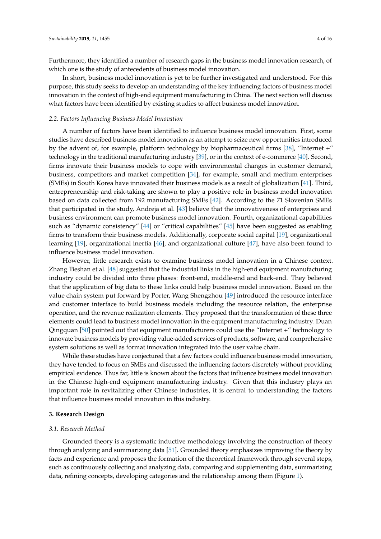Furthermore, they identified a number of research gaps in the business model innovation research, of which one is the study of antecedents of business model innovation.

In short, business model innovation is yet to be further investigated and understood. For this purpose, this study seeks to develop an understanding of the key influencing factors of business model innovation in the context of high-end equipment manufacturing in China. The next section will discuss what factors have been identified by existing studies to affect business model innovation.

#### *2.2. Factors Influencing Business Model Innovation*

A number of factors have been identified to influence business model innovation. First, some studies have described business model innovation as an attempt to seize new opportunities introduced by the advent of, for example, platform technology by biopharmaceutical firms [38], "Internet +" technology in the traditional manufacturing industry [39], or in the context of e-commerce [40]. Second, firms innovate their business models to cope with environmental changes in customer demand, business, competitors and market competition [34], for example, small and medium enterprises (SMEs) in South Korea have innovated their business models as a result of globalization [41]. Third, entrepreneurship and risk-taking are shown to play a positive role in business model innovation based on data collected from 192 manufacturing SMEs [42]. According to the 71 Slovenian SMEs that participated in the study, Andreja et al. [43] believe that the innovativeness of enterprises and business environment can promote business model innovation. Fourth, organizational capabilities such as "dynamic consistency" [44] or "critical capabilities" [45] have been suggested as enabling firms to transform their business models. Additionally, corporate social capital [19], organizational learning [19], organizational inertia [46], and organizational culture [47], have also been found to influence business model innovation.

However, little research exists to examine business model innovation in a Chinese context. Zhang Tieshan et al. [48] suggested that the industrial links in the high-end equipment manufacturing industry could be divided into three phases: front-end, middle-end and back-end. They believed that the application of big data to these links could help business model innovation. Based on the value chain system put forward by Porter, Wang Shengzhou [49] introduced the resource interface and customer interface to build business models including the resource relation, the enterprise operation, and the revenue realization elements. They proposed that the transformation of these three elements could lead to business model innovation in the equipment manufacturing industry. Duan Qingquan [50] pointed out that equipment manufacturers could use the "Internet +" technology to innovate business models by providing value-added services of products, software, and comprehensive system solutions as well as format innovation integrated into the user value chain.

While these studies have conjectured that a few factors could influence business model innovation, they have tended to focus on SMEs and discussed the influencing factors discretely without providing empirical evidence. Thus far, little is known about the factors that influence business model innovation in the Chinese high-end equipment manufacturing industry. Given that this industry plays an important role in revitalizing other Chinese industries, it is central to understanding the factors that influence business model innovation in this industry.

#### **3. Research Design**

#### *3.1. Research Method*

Grounded theory is a systematic inductive methodology involving the construction of theory through analyzing and summarizing data [51]. Grounded theory emphasizes improving the theory by facts and experience and proposes the formation of the theoretical framework through several steps, such as continuously collecting and analyzing data, comparing and supplementing data, summarizing data, refining concepts, developing categories and the relationship among them (Figure 1).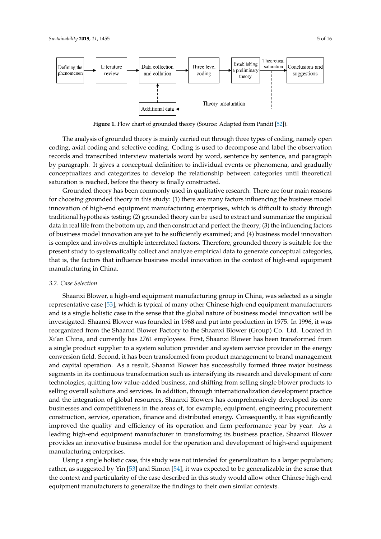

Figure 1. Flow chart of grounded theory (Source: Adapted from Pandit [52]).

The analysis of grounded theory is mainly carried out through three types of coding, namely open coding, axial coding and selective coding. Coding is used to decompose and label the observation records and transcribed interview materials word by word, sentence by sentence, and paragraph by paragraph. It gives a conceptual definition to individual events or phenomena, and gradually conceptualizes and categorizes to develop the relationship between categories until theoretical saturation is reached, before the theory is finally constructed.

Grounded theory has been commonly used in qualitative research. There are four main reasons for choosing grounded theory in this study: (1) there are many factors influencing the business model innovation of high-end equipment manufacturing enterprises, which is difficult to study through traditional hypothesis testing; (2) grounded theory can be used to extract and summarize the empirical data in real life from the bottom up, and then construct and perfect the theory; (3) the influencing factors of business model innovation are yet to be sufficiently examined; and (4) business model innovation is complex and involves multiple interrelated factors. Therefore, grounded theory is suitable for the present study to systematically collect and analyze empirical data to generate conceptual categories, that is, the factors that influence business model innovation in the context of high-end equipment manufacturing in China.

#### *3.2. Case Selection*

Shaanxi Blower, a high-end equipment manufacturing group in China, was selected as a single representative case [53], which is typical of many other Chinese high-end equipment manufacturers and is a single holistic case in the sense that the global nature of business model innovation will be investigated. Shaanxi Blower was founded in 1968 and put into production in 1975. In 1996, it was reorganized from the Shaanxi Blower Factory to the Shaanxi Blower (Group) Co. Ltd. Located in Xi'an China, and currently has 2761 employees. First, Shaanxi Blower has been transformed from a single product supplier to a system solution provider and system service provider in the energy conversion field. Second, it has been transformed from product management to brand management and capital operation. As a result, Shaanxi Blower has successfully formed three major business segments in its continuous transformation such as intensifying its research and development of core technologies, quitting low value-added business, and shifting from selling single blower products to selling overall solutions and services. In addition, through internationalization development practice and the integration of global resources, Shaanxi Blowers has comprehensively developed its core businesses and competitiveness in the areas of, for example, equipment, engineering procurement construction, service, operation, finance and distributed energy. Consequently, it has significantly improved the quality and efficiency of its operation and firm performance year by year. As a leading high-end equipment manufacturer in transforming its business practice, Shaanxi Blower provides an innovative business model for the operation and development of high-end equipment manufacturing enterprises.

Using a single holistic case, this study was not intended for generalization to a larger population; rather, as suggested by Yin [53] and Simon [54], it was expected to be generalizable in the sense that the context and particularity of the case described in this study would allow other Chinese high-end equipment manufacturers to generalize the findings to their own similar contexts.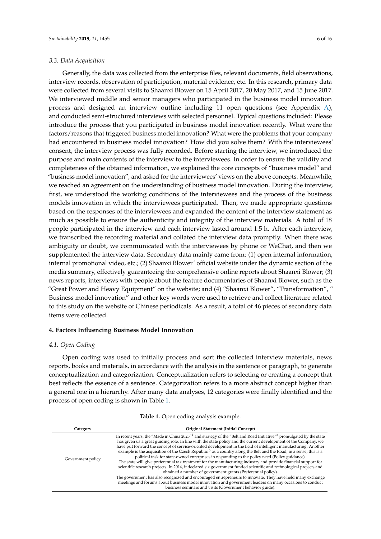#### *3.3. Data Acquisition*

Generally, the data was collected from the enterprise files, relevant documents, field observations, interview records, observation of participation, material evidence, etc. In this research, primary data were collected from several visits to Shaanxi Blower on 15 April 2017, 20 May 2017, and 15 June 2017. We interviewed middle and senior managers who participated in the business model innovation process and designed an interview outline including 11 open questions (see Appendix A), and conducted semi-structured interviews with selected personnel. Typical questions included: Please introduce the process that you participated in business model innovation recently. What were the factors/reasons that triggered business model innovation? What were the problems that your company had encountered in business model innovation? How did you solve them? With the interviewees' consent, the interview process was fully recorded. Before starting the interview, we introduced the purpose and main contents of the interview to the interviewees. In order to ensure the validity and completeness of the obtained information, we explained the core concepts of "business model" and "business model innovation", and asked for the interviewees' views on the above concepts. Meanwhile, we reached an agreement on the understanding of business model innovation. During the interview, first, we understood the working conditions of the interviewees and the process of the business models innovation in which the interviewees participated. Then, we made appropriate questions based on the responses of the interviewees and expanded the content of the interview statement as much as possible to ensure the authenticity and integrity of the interview materials. A total of 18 people participated in the interview and each interview lasted around 1.5 h. After each interview, we transcribed the recording material and collated the interview data promptly. When there was ambiguity or doubt, we communicated with the interviewees by phone or WeChat, and then we supplemented the interview data. Secondary data mainly came from: (1) open internal information, internal promotional video, etc.; (2) Shaanxi Blower' official website under the dynamic section of the media summary, effectively guaranteeing the comprehensive online reports about Shaanxi Blower; (3) news reports, interviews with people about the feature documentaries of Shaanxi Blower, such as the "Great Power and Heavy Equipment" on the website; and (4) "Shaanxi Blower", "Transformation", " Business model innovation" and other key words were used to retrieve and collect literature related to this study on the website of Chinese periodicals. As a result, a total of 46 pieces of secondary data items were collected.

#### **4. Factors Influencing Business Model Innovation**

#### *4.1. Open Coding*

Open coding was used to initially process and sort the collected interview materials, news reports, books and materials, in accordance with the analysis in the sentence or paragraph, to generate conceptualization and categorization. Conceptualization refers to selecting or creating a concept that best reflects the essence of a sentence. Categorization refers to a more abstract concept higher than a general one in a hierarchy. After many data analyses, 12 categories were finally identified and the process of open coding is shown in Table 1.

| Category          | Original Statement (Initial Concept)                                                                                                                                                                                                                                                                                                                                                                                                                                                                                                                                                                                                                                                                                                                                                                                                                                                                                                                                                                                                                                                                                                                                                                                |  |  |  |
|-------------------|---------------------------------------------------------------------------------------------------------------------------------------------------------------------------------------------------------------------------------------------------------------------------------------------------------------------------------------------------------------------------------------------------------------------------------------------------------------------------------------------------------------------------------------------------------------------------------------------------------------------------------------------------------------------------------------------------------------------------------------------------------------------------------------------------------------------------------------------------------------------------------------------------------------------------------------------------------------------------------------------------------------------------------------------------------------------------------------------------------------------------------------------------------------------------------------------------------------------|--|--|--|
| Government policy | In recent years, the "Made in China 2025" <sup>1</sup> and strategy of the "Belt and Road Initiative" <sup>2</sup> promulgated by the state<br>has given us a great guiding role. In line with the state policy and the current development of the Company, we<br>have put forward the concept of service-oriented development in the field of intelligent manufacturing. Another<br>example is the acquisition of the Czech Republic <sup>3</sup> as a country along the Belt and the Road, in a sense, this is a<br>political task for state-owned enterprises in responding to the policy need (Policy guidance).<br>The state will give preferential tax treatment for the manufacturing industry and provide financial support for<br>scientific research projects. In 2014, it declared six government funded scientific and technological projects and<br>obtained a number of government grants (Preferential policy).<br>The government has also recognized and encouraged entrepreneurs to innovate. They have held many exchange<br>meetings and forums about business model innovation and government leaders on many occasions to conduct<br>business seminars and visits (Government behavior guide). |  |  |  |

**Table 1.** Open coding analysis example.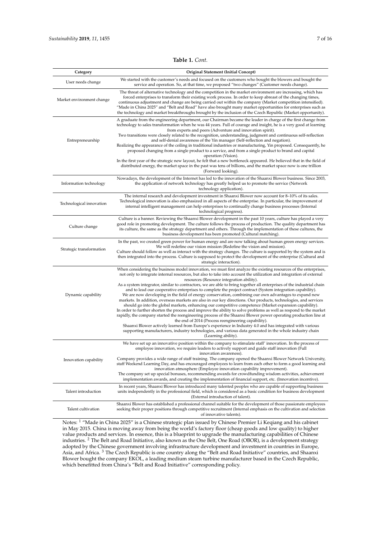#### **Table 1.** *Cont.*

| Category                  | Original Statement (Initial Concept)                                                                                                                                                                                                                                                                                                                                                                                                                                                                                                                                                                                                                                                                                                                                                                                                                                                                                                                                                                                                                                                                                                                                                                                                                                                                                                                                                                           |  |  |
|---------------------------|----------------------------------------------------------------------------------------------------------------------------------------------------------------------------------------------------------------------------------------------------------------------------------------------------------------------------------------------------------------------------------------------------------------------------------------------------------------------------------------------------------------------------------------------------------------------------------------------------------------------------------------------------------------------------------------------------------------------------------------------------------------------------------------------------------------------------------------------------------------------------------------------------------------------------------------------------------------------------------------------------------------------------------------------------------------------------------------------------------------------------------------------------------------------------------------------------------------------------------------------------------------------------------------------------------------------------------------------------------------------------------------------------------------|--|--|
| User needs change         | We started with the customer's needs and focused on the customers who bought the blowers and bought the<br>service and operation. So, at that time, we proposed "two changes" (Customer needs change).                                                                                                                                                                                                                                                                                                                                                                                                                                                                                                                                                                                                                                                                                                                                                                                                                                                                                                                                                                                                                                                                                                                                                                                                         |  |  |
| Market environment change | The threat of alternative technology and the competition in the market environment are increasing, which has<br>forced enterprises to transform their existing work process. In order to keep abreast of the changing times,<br>continuous adjustment and change are being carried out within the company (Market competition intensified).<br>"Made in China 2025" and "Belt and Road" have also brought many market opportunities for enterprises such as<br>the technology and market breakthroughs brought by the inclusion of the Czech Republic (Market opportunity).                                                                                                                                                                                                                                                                                                                                                                                                                                                                                                                                                                                                                                                                                                                                                                                                                                    |  |  |
| Entrepreneurship          | A graduate from the engineering department, our Chairman became the leader in charge of the first change from<br>technology to sales transformation when he was 44 years. Full of courage and insight, he is a very good at learning<br>from experts and peers (Adventure and innovation spirit).<br>Two transitions were closely related to the recognition, understanding, judgment and continuous self-reflection<br>and self-denial awareness of the Yin manager (Self-reflection and negation).<br>Realizing the appearance of the ceiling in traditional industries or manufacturing, Yin proposed. Consequently, he<br>proposed changing from a single product to a service, and from a single product to brand and capital<br>operation (Vision).<br>In the first year of the strategic new layout, he felt that a new bottleneck appeared. He believed that in the field of<br>distributed energy, the market space in the past was tens of billions, and the market space now is one trillion                                                                                                                                                                                                                                                                                                                                                                                                        |  |  |
| Information technology    | (Forward looking).<br>Nowadays, the development of the Internet has led to the innovation of the Shaanxi Blower business. Since 2003,<br>the application of network technology has greatly helped us to promote the service (Network<br>technology application).                                                                                                                                                                                                                                                                                                                                                                                                                                                                                                                                                                                                                                                                                                                                                                                                                                                                                                                                                                                                                                                                                                                                               |  |  |
| Technological innovation  | The internal research and development investment in Shaanxi Blower now account for 8–10% of its sales.<br>Technological innovation is also emphasized in all aspects of the enterprise. In particular, the improvement of<br>internal intelligent management can help enterprises to continually change business processes (Internal<br>technological progress).                                                                                                                                                                                                                                                                                                                                                                                                                                                                                                                                                                                                                                                                                                                                                                                                                                                                                                                                                                                                                                               |  |  |
| Culture change            | Culture is a banner. Reviewing the Shaanxi Blower development in the past 10 years, culture has played a very<br>good role in promoting development. The culture follows the process of production. The quality department has<br>its culture, the same as the strategy department and others. Through the implementation of these cultures, the<br>business development has been promoted (Cultural matching).                                                                                                                                                                                                                                                                                                                                                                                                                                                                                                                                                                                                                                                                                                                                                                                                                                                                                                                                                                                                |  |  |
| Strategic transformation  | In the past, we created green power for human energy and are now talking about human green energy services.<br>We will redefine our vision mission (Redefine the vision and mission).<br>Culture should follow as well as interact with the strategy changes. The culture is supported by the system and is<br>then integrated into the process. Culture is supposed to protect the development of the enterprise (Cultural and<br>strategic interaction).                                                                                                                                                                                                                                                                                                                                                                                                                                                                                                                                                                                                                                                                                                                                                                                                                                                                                                                                                     |  |  |
| Dynamic capability        | When considering the business model innovation, we must first analyze the existing resources of the enterprises,<br>not only to integrate internal resources, but also to take into account the utilization and integration of external<br>resources (Resource integration ability).<br>As a system integrator, similar to contractors, we are able to bring together all enterprises of the industrial chain<br>and to lead our cooperative enterprises to complete the project contract (System integration capability).<br>We are now developing in the field of energy conservation, combining our own advantages to expand new<br>markets. In addition, overseas markets are also in our key directions. Our products, technologies, and services<br>should go into the global markets, enhancing our competitive competence (Market expansion capability).<br>In order to further shorten the process and improve the ability to solve problems as well as respond to the market<br>rapidly, the company started the reengineering process of the Shaanxi Blower power operating production line at<br>the end of 2014 (Process reengineering capability).<br>Shaanxi Blower actively learned from Europe's experience in Industry 4.0 and has integrated with various<br>supporting manufacturers, industry technologies, and various data generated in the whole industry chain<br>(Learning ability). |  |  |
| Innovation capability     | We have set up an innovative position within the company to stimulate staff' innovation. In the process of<br>employee innovation, we require leaders to actively support and guide staff innovation (Full<br>innovation awareness).<br>Company provides a wide range of staff training. The company opened the Shaanxi Blower Network University,<br>staff Weekend Learning Day, and has encouraged employees to learn from each other to form a good learning and<br>innovation atmosphere (Employee innovation capability improvement).<br>The company set up special bonuses, recommending awards for crowdfunding wisdom activities, achievement<br>implementation awards, and creating the implementation of financial support, etc. (Innovation incentive).                                                                                                                                                                                                                                                                                                                                                                                                                                                                                                                                                                                                                                             |  |  |
| Talent introduction       | In recent years, Shaanxi Blower has introduced many talented peoples who are capable of supporting business<br>units independently in the professional field, which is considered as a basic condition for business development<br>(External introduction of talent).                                                                                                                                                                                                                                                                                                                                                                                                                                                                                                                                                                                                                                                                                                                                                                                                                                                                                                                                                                                                                                                                                                                                          |  |  |
| Talent cultivation        | Shaanxi Blower has established a professional channel suitable for the development of those passionate employees<br>seeking their proper positions through competitive recruitment (Internal emphasis on the cultivation and selection<br>of innovative talents).                                                                                                                                                                                                                                                                                                                                                                                                                                                                                                                                                                                                                                                                                                                                                                                                                                                                                                                                                                                                                                                                                                                                              |  |  |
|                           |                                                                                                                                                                                                                                                                                                                                                                                                                                                                                                                                                                                                                                                                                                                                                                                                                                                                                                                                                                                                                                                                                                                                                                                                                                                                                                                                                                                                                |  |  |

Notes: <sup>1</sup> "Made in China 2025" is a Chinese strategic plan issued by Chinese Premier Li Keqiang and his cabinet in May 2015. China is moving away from being the world's factory floor (cheap goods and low quality) to higher value products and services. In essence, this is a blueprint to upgrade the manufacturing capabilities of Chinese industries. <sup>2</sup> The Belt and Road Initiative, also known as the One Belt, One Road (OBOR), is a development strategy adopted by the Chinese government involving infrastructure development and investment in countries in Europe, Asia, and Africa. <sup>3</sup> The Czech Republic is one country along the "Belt and Road Initiative" countries, and Shaanxi Blower bought the company EKOL, a leading medium steam turbine manufacturer based in the Czech Republic, which benefitted from China's "Belt and Road Initiative" corresponding policy.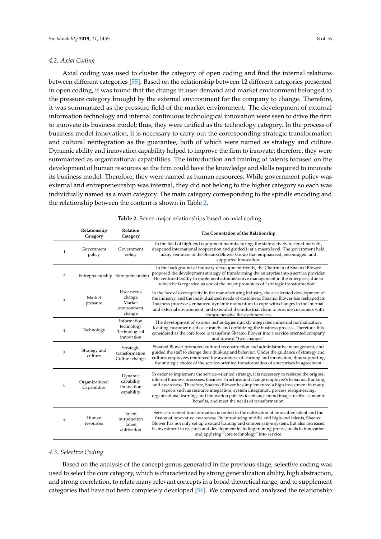#### *4.2. Axial Coding*

Axial coding was used to cluster the category of open coding and find the internal relations between different categories [55]. Based on the relationship between 12 different categories presented in open coding, it was found that the change in user demand and market environment belonged to the pressure category brought by the external environment for the company to change. Therefore, it was summarized as the pressure field of the market environment. The development of external information technology and internal continuous technological innovation were seen to drive the firm to innovate its business model; thus, they were unified as the technology category. In the process of business model innovation, it is necessary to carry out the corresponding strategic transformation and cultural reintegration as the guarantee, both of which were named as strategy and culture. Dynamic ability and innovation capability helped to improve the firm to innovate; therefore, they were summarized as organizational capabilities. The introduction and training of talents focused on the development of human resources so the firm could have the knowledge and skills required to innovate its business model. Therefore, they were named as human resources. While government policy was external and entrepreneurship was internal, they did not belong to the higher category so each was individually named as a main category. The main category corresponding to the spindle encoding and the relationship between the content is shown in Table 2.

|                | Relationship<br>Category          | Relation<br>Category                                     | The Connotation of the Relationship                                                                                                                                                                                                                                                                                                                                                                                                                                                                                  |
|----------------|-----------------------------------|----------------------------------------------------------|----------------------------------------------------------------------------------------------------------------------------------------------------------------------------------------------------------------------------------------------------------------------------------------------------------------------------------------------------------------------------------------------------------------------------------------------------------------------------------------------------------------------|
| 1              | Government<br>policy              | Government<br>policy                                     | In the field of high-end equipment manufacturing, the state actively fostered markets,<br>deepened international cooperation and guided it at a macro level. The government held<br>many seminars in the Shaanxi Blower Group that emphasized, encouraged, and<br>supported innovation.                                                                                                                                                                                                                              |
| $\overline{2}$ | Entrepreneurship Entrepreneurship |                                                          | In the background of industry development trends, the Chairman of Shaanxi Blower<br>proposed the development strategy of transforming the enterprise into a service provider.<br>He ventured boldly to implement administrative management in the enterprise, due to<br>which he is regarded as one of the major promoters of "strategic transformation".                                                                                                                                                            |
| 3              | Market<br>pressure                | User needs<br>change<br>Market<br>environment<br>change  | In the face of overcapacity in the manufacturing industry, the accelerated development of<br>the industry, and the individualized needs of customers, Shaanxi Blower has reshaped its<br>business processes, enhanced dynamic momentum to cope with changes in the internal<br>and external environment, and extended the industrial chain to provide customers with<br>comprehensive life-cycle services.                                                                                                           |
| $\overline{4}$ | Technology                        | Information<br>technology<br>Technological<br>innovation | The development of various technologies quickly integrates industrial normalization,<br>locating customer needs accurately and optimizing the business process. Therefore, it is<br>considered as the core force to transform Shaanxi Blower into a service-oriented company<br>and toward "two changes".                                                                                                                                                                                                            |
| 5              | Strategy and<br>culture           | Strategic<br>transformation<br>Culture change            | Shaanxi Blower promoted cultural reconstruction and administrative management, and<br>guided the staff to change their thinking and behavior. Under the guidance of strategy and<br>culture, employees reinforced the awareness of learning and innovation, thus supporting<br>the strategic choice of the service-oriented transformation of enterprises in agreement.                                                                                                                                              |
| 6              | Organizational<br>Capabilities    | Dynamic<br>capability<br>Innovation<br>capability        | In order to implement the service-oriented strategy, it is necessary to reshape the original<br>internal business processes, business structure, and change employee's behavior, thinking,<br>and awareness. Therefore, Shaanxi Blower has implemented a high investment in many<br>aspects such as resource integration, system integration, process reengineering,<br>organizational learning, and innovation policies to enhance brand image, realize economic<br>benefits, and meet the needs of transformation. |
| 7              | Human<br>resources                | Talent<br>introduction<br>Talent<br>cultivation          | Service-oriented transformation is rooted in the cultivation of innovative talent and the<br>fusion of innovative awareness. By introducing middle and high-end talents, Shaanxi<br>Blower has not only set up a sound training and compensation system, but also increased<br>its investment in research and development including training professionals in innovation<br>and applying "core technology" into service.                                                                                             |

| Table 2. Seven major relationships based on axial coding. |  |
|-----------------------------------------------------------|--|
|-----------------------------------------------------------|--|

#### *4.3. Selective Coding*

Based on the analysis of the concept genus generated in the previous stage, selective coding was used to select the core category, which is characterized by strong generalization ability, high abstraction, and strong correlation, to relate many relevant concepts in a broad theoretical range, and to supplement categories that have not been completely developed [56]. We compared and analyzed the relationship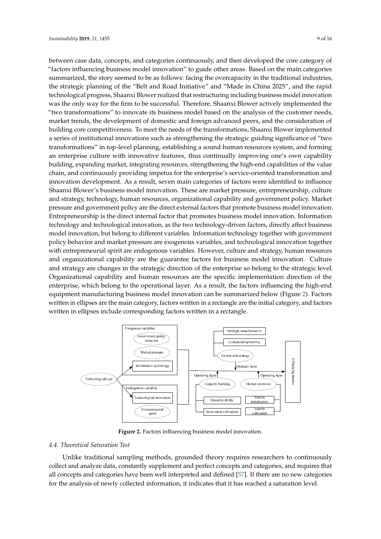between case data, concepts, and categories continuously, and then developed the core category of "factors influencing business model innovation" to guide other areas. Based on the main categories summarized, the story seemed to be as follows: facing the overcapacity in the traditional industries, the strategic planning of the "Belt and Road Initiative" and "Made in China 2025", and the rapid technological progress, Shaanxi Blower realized that restructuring including business model innovation was the only way for the firm to be successful. Therefore, Shaanxi Blower actively implemented the "two transformations" to innovate its business model based on the analysis of the customer needs, market trends, the development of domestic and foreign advanced peers, and the consideration of building core competitiveness. To meet the needs of the transformations, Shaanxi Blower implemented a series of institutional innovations such as strengthening the strategic guiding significance of "two transformations" in top-level planning, establishing a sound human resources system, and forming an enterprise culture with innovative features, thus continually improving one's own capability building, expanding market, integrating resources, strengthening the high-end capabilities of the value chain, and continuously providing impetus for the enterprise's service-oriented transformation and innovation development. As a result, seven main categories of factors were identified to influence Shaanxi Blower's business model innovation. These are market pressure, entrepreneurship, culture and strategy, technology, human resources, organizational capability and government policy. Market pressure and government policy are the direct external factors that promote business model innovation. Entrepreneurship is the direct internal factor that promotes business model innovation. Information technology and technological innovation, as the two technology-driven factors, directly affect business model innovation, but belong to different variables. Information technology together with government policy behavior and market pressure are exogenous variables, and technological innovation together with entrepreneurial spirit are endogenous variables. However, culture and strategy, human resources and organizational capability are the guarantee factors for business model innovation. Culture and strategy are changes in the strategic direction of the enterprise so belong to the strategic level. Organizational capability and human resources are the specific implementation direction of the enterprise, which belong to the operational layer. As a result, the factors influencing the high-end equipment manufacturing business model innovation can be summarized below (Figure 2). Factors written in ellipses are the main category, factors written in a rectangle are the initial category, and factors written in ellipses include corresponding factors written in a rectangle.



**Figure 2.** Factors influencing business model innovation.

## *4.4. Theoretical Saturation Test*

Unlike traditional sampling methods, grounded theory requires researchers to continuously collect and analyze data, constantly supplement and perfect concepts and categories, and requires that all concepts and categories have been well interpreted and defined [57]. If there are no new categories for the analysis of newly collected information, it indicates that it has reached a saturation level.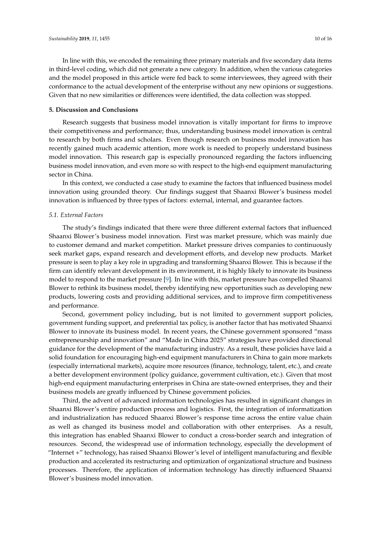In line with this, we encoded the remaining three primary materials and five secondary data items in third-level coding, which did not generate a new category. In addition, when the various categories

and the model proposed in this article were fed back to some interviewees, they agreed with their conformance to the actual development of the enterprise without any new opinions or suggestions. Given that no new similarities or differences were identified, the data collection was stopped.

#### **5. Discussion and Conclusions**

Research suggests that business model innovation is vitally important for firms to improve their competitiveness and performance; thus, understanding business model innovation is central to research by both firms and scholars. Even though research on business model innovation has recently gained much academic attention, more work is needed to properly understand business model innovation. This research gap is especially pronounced regarding the factors influencing business model innovation, and even more so with respect to the high-end equipment manufacturing sector in China.

In this context, we conducted a case study to examine the factors that influenced business model innovation using grounded theory. Our findings suggest that Shaanxi Blower's business model innovation is influenced by three types of factors: external, internal, and guarantee factors.

#### *5.1. External Factors*

The study's findings indicated that there were three different external factors that influenced Shaanxi Blower's business model innovation. First was market pressure, which was mainly due to customer demand and market competition. Market pressure drives companies to continuously seek market gaps, expand research and development efforts, and develop new products. Market pressure is seen to play a key role in upgrading and transforming Shaanxi Blower. This is because if the firm can identify relevant development in its environment, it is highly likely to innovate its business model to respond to the market pressure [9]. In line with this, market pressure has compelled Shaanxi Blower to rethink its business model, thereby identifying new opportunities such as developing new products, lowering costs and providing additional services, and to improve firm competitiveness and performance.

Second, government policy including, but is not limited to government support policies, government funding support, and preferential tax policy, is another factor that has motivated Shaanxi Blower to innovate its business model. In recent years, the Chinese government sponsored "mass entrepreneurship and innovation" and "Made in China 2025" strategies have provided directional guidance for the development of the manufacturing industry. As a result, these policies have laid a solid foundation for encouraging high-end equipment manufacturers in China to gain more markets (especially international markets), acquire more resources (finance, technology, talent, etc.), and create a better development environment (policy guidance, government cultivation, etc.). Given that most high-end equipment manufacturing enterprises in China are state-owned enterprises, they and their business models are greatly influenced by Chinese government policies.

Third, the advent of advanced information technologies has resulted in significant changes in Shaanxi Blower's entire production process and logistics. First, the integration of informatization and industrialization has reduced Shaanxi Blower's response time across the entire value chain as well as changed its business model and collaboration with other enterprises. As a result, this integration has enabled Shaanxi Blower to conduct a cross-border search and integration of resources. Second, the widespread use of information technology, especially the development of "Internet +" technology, has raised Shaanxi Blower's level of intelligent manufacturing and flexible production and accelerated its restructuring and optimization of organizational structure and business processes. Therefore, the application of information technology has directly influenced Shaanxi Blower's business model innovation.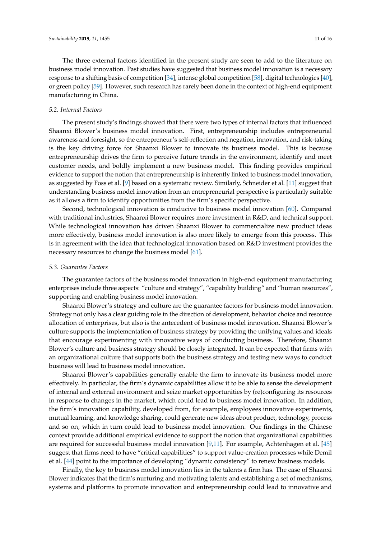The three external factors identified in the present study are seen to add to the literature on business model innovation. Past studies have suggested that business model innovation is a necessary response to a shifting basis of competition [34], intense global competition [58], digital technologies [40], or green policy [59]. However, such research has rarely been done in the context of high-end equipment manufacturing in China.

#### *5.2. Internal Factors*

The present study's findings showed that there were two types of internal factors that influenced Shaanxi Blower's business model innovation. First, entrepreneurship includes entrepreneurial awareness and foresight, so the entrepreneur's self-reflection and negation, innovation, and risk-taking is the key driving force for Shaanxi Blower to innovate its business model. This is because entrepreneurship drives the firm to perceive future trends in the environment, identify and meet customer needs, and boldly implement a new business model. This finding provides empirical evidence to support the notion that entrepreneurship is inherently linked to business model innovation, as suggested by Foss et al. [9] based on a systematic review. Similarly, Schneider et al. [11] suggest that understanding business model innovation from an entrepreneurial perspective is particularly suitable as it allows a firm to identify opportunities from the firm's specific perspective.

Second, technological innovation is conducive to business model innovation [60]. Compared with traditional industries, Shaanxi Blower requires more investment in R&D, and technical support. While technological innovation has driven Shaanxi Blower to commercialize new product ideas more effectively, business model innovation is also more likely to emerge from this process. This is in agreement with the idea that technological innovation based on R&D investment provides the necessary resources to change the business model [61].

#### *5.3. Guarantee Factors*

The guarantee factors of the business model innovation in high-end equipment manufacturing enterprises include three aspects: "culture and strategy", "capability building" and "human resources", supporting and enabling business model innovation.

Shaanxi Blower's strategy and culture are the guarantee factors for business model innovation. Strategy not only has a clear guiding role in the direction of development, behavior choice and resource allocation of enterprises, but also is the antecedent of business model innovation. Shaanxi Blower's culture supports the implementation of business strategy by providing the unifying values and ideals that encourage experimenting with innovative ways of conducting business. Therefore, Shaanxi Blower's culture and business strategy should be closely integrated. It can be expected that firms with an organizational culture that supports both the business strategy and testing new ways to conduct business will lead to business model innovation.

Shaanxi Blower's capabilities generally enable the firm to innovate its business model more effectively. In particular, the firm's dynamic capabilities allow it to be able to sense the development of internal and external environment and seize market opportunities by (re)configuring its resources in response to changes in the market, which could lead to business model innovation. In addition, the firm's innovation capability, developed from, for example, employees innovative experiments, mutual learning, and knowledge sharing, could generate new ideas about product, technology, process and so on, which in turn could lead to business model innovation. Our findings in the Chinese context provide additional empirical evidence to support the notion that organizational capabilities are required for successful business model innovation [9,11]. For example, Achtenhagen et al. [45] suggest that firms need to have "critical capabilities" to support value-creation processes while Demil et al. [44] point to the importance of developing "dynamic consistency" to renew business models.

Finally, the key to business model innovation lies in the talents a firm has. The case of Shaanxi Blower indicates that the firm's nurturing and motivating talents and establishing a set of mechanisms, systems and platforms to promote innovation and entrepreneurship could lead to innovative and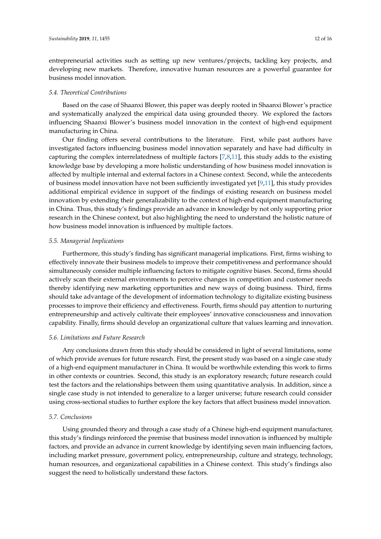entrepreneurial activities such as setting up new ventures/projects, tackling key projects, and developing new markets. Therefore, innovative human resources are a powerful guarantee for business model innovation.

#### *5.4. Theoretical Contributions*

Based on the case of Shaanxi Blower, this paper was deeply rooted in Shaanxi Blower's practice and systematically analyzed the empirical data using grounded theory. We explored the factors influencing Shaanxi Blower's business model innovation in the context of high-end equipment manufacturing in China.

Our finding offers several contributions to the literature. First, while past authors have investigated factors influencing business model innovation separately and have had difficulty in capturing the complex interrelatedness of multiple factors [7,8,11], this study adds to the existing knowledge base by developing a more holistic understanding of how business model innovation is affected by multiple internal and external factors in a Chinese context. Second, while the antecedents of business model innovation have not been sufficiently investigated yet [9,11], this study provides additional empirical evidence in support of the findings of existing research on business model innovation by extending their generalizability to the context of high-end equipment manufacturing in China. Thus, this study's findings provide an advance in knowledge by not only supporting prior research in the Chinese context, but also highlighting the need to understand the holistic nature of how business model innovation is influenced by multiple factors.

#### *5.5. Managerial Implications*

Furthermore, this study's finding has significant managerial implications. First, firms wishing to effectively innovate their business models to improve their competitiveness and performance should simultaneously consider multiple influencing factors to mitigate cognitive biases. Second, firms should actively scan their external environments to perceive changes in competition and customer needs thereby identifying new marketing opportunities and new ways of doing business. Third, firms should take advantage of the development of information technology to digitalize existing business processes to improve their efficiency and effectiveness. Fourth, firms should pay attention to nurturing entrepreneurship and actively cultivate their employees' innovative consciousness and innovation capability. Finally, firms should develop an organizational culture that values learning and innovation.

#### *5.6. Limitations and Future Research*

Any conclusions drawn from this study should be considered in light of several limitations, some of which provide avenues for future research. First, the present study was based on a single case study of a high-end equipment manufacturer in China. It would be worthwhile extending this work to firms in other contexts or countries. Second, this study is an exploratory research; future research could test the factors and the relationships between them using quantitative analysis. In addition, since a single case study is not intended to generalize to a larger universe; future research could consider using cross-sectional studies to further explore the key factors that affect business model innovation.

#### *5.7. Conclusions*

Using grounded theory and through a case study of a Chinese high-end equipment manufacturer, this study's findings reinforced the premise that business model innovation is influenced by multiple factors, and provide an advance in current knowledge by identifying seven main influencing factors, including market pressure, government policy, entrepreneurship, culture and strategy, technology, human resources, and organizational capabilities in a Chinese context. This study's findings also suggest the need to holistically understand these factors.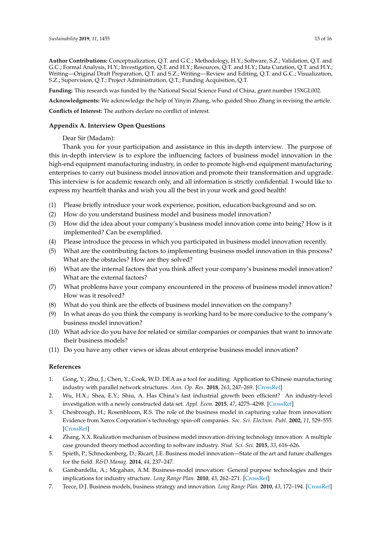**Author Contributions:** Conceptualization, Q.T. and G.C.; Methodology, H.Y.; Software, S.Z.; Validation, Q.T. and G.C.; Formal Analysis, H.Y.; Investigation, Q.T. and H.Y.; Resources, Q.T. and H.Y.; Data Curation, Q.T. and H.Y.; Writing—Original Draft Preparation, Q.T. and S.Z.; Writing—Review and Editing, Q.T. and G.C.; Visualization, S.Z.; Supervision, Q.T.; Project Administration, Q.T.; Funding Acquisition, Q.T.

**Funding:** This research was funded by the National Social Science Fund of China, grant number 15XGL002.

**Acknowledgments:** We acknowledge the help of Yinyin Zhang, who guided Shuo Zhang in revising the article.

**Conflicts of Interest:** The authors declare no conflict of interest.

# **Appendix A. Interview Open Questions**

# Dear Sir (Madam):

Thank you for your participation and assistance in this in-depth interview. The purpose of this in-depth interview is to explore the influencing factors of business model innovation in the high-end equipment manufacturing industry, in order to promote high-end equipment manufacturing enterprises to carry out business model innovation and promote their transformation and upgrade. This interview is for academic research only, and all information is strictly confidential. I would like to express my heartfelt thanks and wish you all the best in your work and good health!

- (1) Please briefly introduce your work experience, position, education background and so on.
- (2) How do you understand business model and business model innovation?
- (3) How did the idea about your company's business model innovation come into being? How is it implemented? Can be exemplified.
- (4) Please introduce the process in which you participated in business model innovation recently.
- (5) What are the contributing factors to implementing business model innovation in this process? What are the obstacles? How are they solved?
- (6) What are the internal factors that you think affect your company's business model innovation? What are the external factors?
- (7) What problems have your company encountered in the process of business model innovation? How was it resolved?
- (8) What do you think are the effects of business model innovation on the company?
- (9) In what areas do you think the company is working hard to be more conducive to the company's business model innovation?
- (10) What advice do you have for related or similar companies or companies that want to innovate their business models?
- (11) Do you have any other views or ideas about enterprise business model innovation?

# **References**

- 1. Gong, Y.; Zhu, J.; Chen, Y.; Cook, W.D. DEA as a tool for auditing: Application to Chinese manufacturing industry with parallel network structures. *Ann. Op. Res.* **2018**, *263*, 247–269. [CrossRef]
- 2. Wu, H.X.; Shea, E.Y.; Shiu, A. Has China's fast industrial growth been efficient? An industry-level investigation with a newly constructed data set. *Appl. Econ.* **2015**, *47*, 4275–4298. [CrossRef]
- 3. Chesbrough, H.; Rosenbloom, R.S. The role of the business model in capturing value from innovation: Evidence from Xerox Corporation's technology spin-off companies. *Soc. Sci. Electron. Publ.* **2002**, *11*, 529–555. [CrossRef]
- 4. Zhang, X.X. Realization mechanism of business model innovation driving technology innovation: A multiple case grounded theory method according to software industry. *Stud. Sci. Sci.* **2015**, *33*, 616–626.
- 5. Spieth, P.; Schneckenberg, D.; Ricart, J.E. Business model innovation—State of the art and future challenges for the field. *R&D Manag.* **2014**, *44*, 237–247.
- 6. Gambardella, A.; Mcgahan, A.M. Business-model innovation: General purpose technologies and their implications for industry structure. *Long Range Plan.* **2010**, *43*, 262–271. [CrossRef]
- 7. Teece, D.J. Business models, business strategy and innovation. *Long Range Plan.* **2010**, *43*, 172–194. [CrossRef]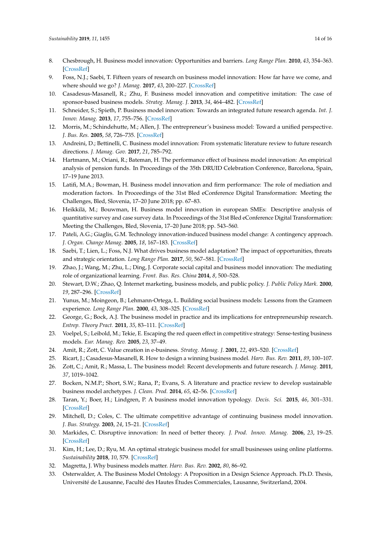- 8. Chesbrough, H. Business model innovation: Opportunities and barriers. *Long Range Plan.* **2010**, *43*, 354–363. [CrossRef]
- 9. Foss, N.J.; Saebi, T. Fifteen years of research on business model innovation: How far have we come, and where should we go? *J. Manag.* **2017**, *43*, 200–227. [CrossRef]
- 10. Casadesus-Masanell, R.; Zhu, F. Business model innovation and competitive imitation: The case of sponsor-based business models. *Strateg. Manag. J.* **2013**, *34*, 464–482. [CrossRef]
- 11. Schneider, S.; Spieth, P. Business model innovation: Towards an integrated future research agenda. *Int. J. Innov. Manag.* **2013**, *17*, 755–756. [CrossRef]
- 12. Morris, M.; Schindehutte, M.; Allen, J. The entrepreneur's business model: Toward a unified perspective. *J. Bus. Res.* **2005**, *58*, 726–735. [CrossRef]
- 13. Andreini, D.; Bettinelli, C. Business model innovation: From systematic literature review to future research directions. *J. Manag. Gov.* **2017**, *21*, 785–792.
- 14. Hartmann, M.; Oriani, R.; Bateman, H. The performance effect of business model innovation: An empirical analysis of pension funds. In Proceedings of the 35th DRUID Celebration Conference, Barcelona, Spain, 17–19 June 2013.
- 15. Latifi, M.A.; Bowman, H. Business model innovation and firm performance: The role of mediation and moderation factors. In Proceedings of the 31st Bled eConference Digital Transformation: Meeting the Challenges, Bled, Slovenia, 17–20 June 2018; pp. 67–83.
- 16. Heikkilä, M.; Bouwman, H. Business model innovation in european SMEs: Descriptive analysis of quantitative survey and case survey data. In Proceedings of the 31st Bled eConference Digital Transformation: Meeting the Challenges, Bled, Slovenia, 17–20 June 2018; pp. 543–560.
- 17. Pateli, A.G.; Giaglis, G.M. Technology innovation-induced business model change: A contingency approach. *J. Organ. Change Manag.* **2005**, *18*, 167–183. [CrossRef]
- 18. Saebi, T.; Lien, L.; Foss, N.J. What drives business model adaptation? The impact of opportunities, threats and strategic orientation. *Long Range Plan.* **2017**, *50*, 567–581. [CrossRef]
- 19. Zhao, J.; Wang, M.; Zhu, L.; Ding, J. Corporate social capital and business model innovation: The mediating role of organizational learning. *Front. Bus. Res. China* **2014**, *8*, 500–528.
- 20. Stewart, D.W.; Zhao, Q. Internet marketing, business models, and public policy. *J. Public Policy Mark.* **2000**, *19*, 287–296. [CrossRef]
- 21. Yunus, M.; Moingeon, B.; Lehmann-Ortega, L. Building social business models: Lessons from the Grameen experience. *Long Range Plan.* **2000**, *43*, 308–325. [CrossRef]
- 22. George, G.; Bock, A.J. The business model in practice and its implications for entrepreneurship research. *Entrep. Theory Pract.* **2011**, *35*, 83–111. [CrossRef]
- 23. Voelpel, S.; Leibold, M.; Tekie, E. Escaping the red queen effect in competitive strategy: Sense-testing business models. *Eur. Manag. Rev.* **2005**, *23*, 37–49.
- 24. Amit, R.; Zott, C. Value creation in e-business. *Strateg. Manag. J.* **2001**, *22*, 493–520. [CrossRef]
- 25. Ricart, J.; Casadesus-Masanell, R. How to design a winning business model. *Harv. Bus. Rev.* **2011**, *89*, 100–107.
- 26. Zott, C.; Amit, R.; Massa, L. The business model: Recent developments and future research. *J. Manag.* **2011**, *37*, 1019–1042.
- 27. Bocken, N.M.P.; Short, S.W.; Rana, P.; Evans, S. A literature and practice review to develop sustainable business model archetypes. *J. Clean. Prod.* **2014**, *65*, 42–56. [CrossRef]
- 28. Taran, Y.; Boer, H.; Lindgren, P. A business model innovation typology. *Decis. Sci.* **2015**, *46*, 301–331. [CrossRef]
- 29. Mitchell, D.; Coles, C. The ultimate competitive advantage of continuing business model innovation. *J. Bus. Strategy.* **2003**, *24*, 15–21. [CrossRef]
- 30. Markides, C. Disruptive innovation: In need of better theory. *J. Prod. Innov. Manag.* **2006**, *23*, 19–25. [CrossRef]
- 31. Kim, H.; Lee, D.; Ryu, M. An optimal strategic business model for small businesses using online platforms. *Sustainability* **2018**, *10*, 579. [CrossRef]
- 32. Magretta, J. Why business models matter. *Harv. Bus. Rev.* **2002**, *80*, 86–92.
- 33. Osterwalder, A. The Business Model Ontology: A Proposition in a Design Science Approach. Ph.D. Thesis, Université de Lausanne, Faculté des Hautes Études Commerciales, Lausanne, Switzerland, 2004.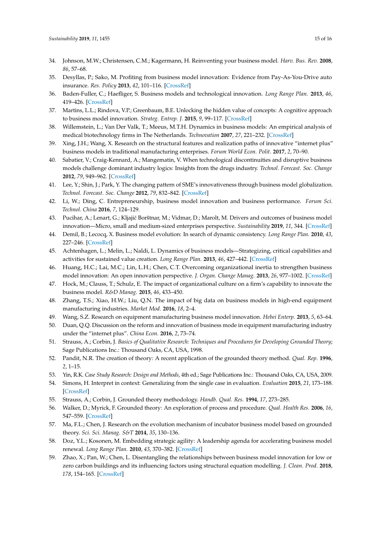- 34. Johnson, M.W.; Christensen, C.M.; Kagermann, H. Reinventing your business model. *Harv. Bus. Rev.* **2008**, *86*, 57–68.
- 35. Desyllas, P.; Sako, M. Profiting from business model innovation: Evidence from Pay-As-You-Drive auto insurance. *Res. Policy* **2013**, *42*, 101–116. [CrossRef]
- 36. Baden-Fuller, C.; Haefliger, S. Business models and technological innovation. *Long Range Plan.* **2013**, *46*, 419–426. [CrossRef]
- 37. Martins, L.L.; Rindova, V.P.; Greenbaum, B.E. Unlocking the hidden value of concepts: A cognitive approach to business model innovation. *Strateg. Entrep. J.* **2015**, *9*, 99–117. [CrossRef]
- 38. Willemstein, L.; Van Der Valk, T.; Meeus, M.T.H. Dynamics in business models: An empirical analysis of medical biotechnology firms in The Netherlands. *Technovation* **2007**, *27*, 221–232. [CrossRef]
- 39. Xing, J.H.; Wang, X. Research on the structural features and realization paths of innovative "internet plus" business models in traditional manufacturing enterprises. *Forum World Econ. Polit.* **2017**, *2*, 70–90.
- 40. Sabatier, V.; Craig-Kennard, A.; Mangematin, V. When technological discontinuities and disruptive business models challenge dominant industry logics: Insights from the drugs industry. *Technol. Forecast. Soc. Change* **2012**, *79*, 949–962. [CrossRef]
- 41. Lee, Y.; Shin, J.; Park, Y. The changing pattern of SME's innovativeness through business model globalization. *Technol. Forecast. Soc. Change* **2012**, *79*, 832–842. [CrossRef]
- 42. Li, W.; Ding, C. Entrepreneurship, business model innovation and business performance. *Forum Sci. Technol. China* **2016**, *7*, 124–129.
- 43. Pucihar, A.; Lenart, G.; Kljajić Borštnar, M.; Vidmar, D.; Marolt, M. Drivers and outcomes of business model innovation—Micro, small and medium-sized enterprises perspective. *Sustainability* **2019**, *11*, 344. [CrossRef]
- 44. Demil, B.; Lecocq, X. Business model evolution: In search of dynamic consistency. *Long Range Plan.* **2010**, *43*, 227–246. [CrossRef]
- 45. Achtenhagen, L.; Melin, L.; Naldi, L. Dynamics of business models—Strategizing, critical capabilities and activities for sustained value creation. *Long Range Plan.* **2013**, *46*, 427–442. [CrossRef]
- 46. Huang, H.C.; Lai, M.C.; Lin, L.H.; Chen, C.T. Overcoming organizational inertia to strengthen business model innovation: An open innovation perspective. *J. Organ. Change Manag.* **2013**, *26*, 977–1002. [CrossRef]
- 47. Hock, M.; Clauss, T.; Schulz, E. The impact of organizational culture on a firm's capability to innovate the business model. *R&D Manag.* **2015**, *46*, 433–450.
- 48. Zhang, T.S.; Xiao, H.W.; Liu, Q.N. The impact of big data on business models in high-end equipment manufacturing industries. *Market Mod.* **2016**, *18*, 2–4.
- 49. Wang, S.Z. Research on equipment manufacturing business model innovation. *Hebei Enterp.* **2013**, *5*, 63–64.
- 50. Duan, Q.Q. Discussion on the reform and innovation of business mode in equipment manufacturing industry under the "internet plus". *China Econ.* **2016**, *2*, 73–74.
- 51. Strauss, A.; Corbin, J. *Basics of Qualitative Research: Techniques and Procedures for Developing Grounded Theory*; Sage Publications Inc.: Thousand Oaks, CA, USA, 1998.
- 52. Pandit, N.R. The creation of theory: A recent application of the grounded theory method. *Qual. Rep.* **1996**, *2*, 1–15.
- 53. Yin, R.K. *Case Study Research: Design and Methods*, 4th ed.; Sage Publications Inc.: Thousand Oaks, CA, USA, 2009.
- 54. Simons, H. Interpret in context: Generalizing from the single case in evaluation. *Evaluation* **2015**, *21*, 173–188. [CrossRef]
- 55. Strauss, A.; Corbin, J. Grounded theory methodology. *Handb. Qual. Res.* **1994**, *17*, 273–285.
- 56. Walker, D.; Myrick, F. Grounded theory: An exploration of process and procedure. *Qual. Health Res.* **2006**, *16*, 547–559. [CrossRef]
- 57. Ma, F.L.; Chen, J. Research on the evolution mechanism of incubator business model based on grounded theory. *Sci. Sci. Manag. S&T* **2014**, *35*, 130–136.
- 58. Doz, Y.L.; Kosonen, M. Embedding strategic agility: A leadership agenda for accelerating business model renewal. *Long Range Plan.* **2010**, *43*, 370–382. [CrossRef]
- 59. Zhao, X.; Pan, W.; Chen, L. Disentangling the relationships between business model innovation for low or zero carbon buildings and its influencing factors using structural equation modelling. *J. Clean. Prod.* **2018**, *178*, 154–165. [CrossRef]